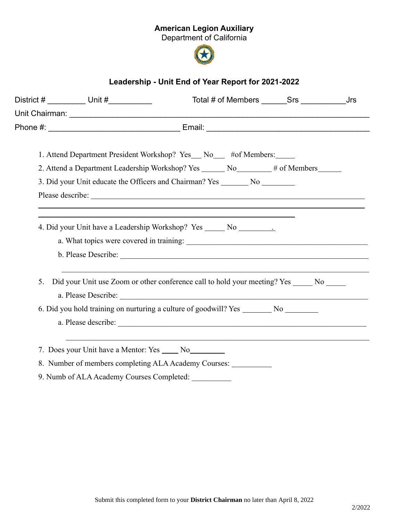## American Legion Auxiliary

Department of California



## Leadership - Unit End of Year Report for 2021-2022

| District # _________ Unit #__________     | Total # of Members Srs Jrs                                                                                                                                                                                                           |
|-------------------------------------------|--------------------------------------------------------------------------------------------------------------------------------------------------------------------------------------------------------------------------------------|
|                                           |                                                                                                                                                                                                                                      |
|                                           |                                                                                                                                                                                                                                      |
|                                           |                                                                                                                                                                                                                                      |
|                                           | 1. Attend Department President Workshop? Yes_ No_ #of Members:___                                                                                                                                                                    |
|                                           | 2. Attend a Department Leadership Workshop? Yes _______ No________ # of Members______                                                                                                                                                |
|                                           | 3. Did your Unit educate the Officers and Chairman? Yes ________ No __________                                                                                                                                                       |
|                                           | Please describe: <u>Queen and the set of the set of the set of the set of the set of the set of the set of the set of the set of the set of the set of the set of the set of the set of the set of the set of the set of the set</u> |
|                                           |                                                                                                                                                                                                                                      |
|                                           | 4. Did your Unit have a Leadership Workshop? Yes ______ No _____________________                                                                                                                                                     |
|                                           |                                                                                                                                                                                                                                      |
|                                           |                                                                                                                                                                                                                                      |
|                                           |                                                                                                                                                                                                                                      |
| 5.                                        | Did your Unit use Zoom or other conference call to hold your meeting? Yes ______ No _____                                                                                                                                            |
|                                           |                                                                                                                                                                                                                                      |
|                                           | 6. Did you hold training on nurturing a culture of goodwill? Yes ________ No ________                                                                                                                                                |
|                                           |                                                                                                                                                                                                                                      |
|                                           |                                                                                                                                                                                                                                      |
|                                           | 7. Does your Unit have a Mentor: Yes _____ No_________                                                                                                                                                                               |
|                                           | 8. Number of members completing ALA Academy Courses: ___________                                                                                                                                                                     |
| 9. Numb of ALA Academy Courses Completed: |                                                                                                                                                                                                                                      |